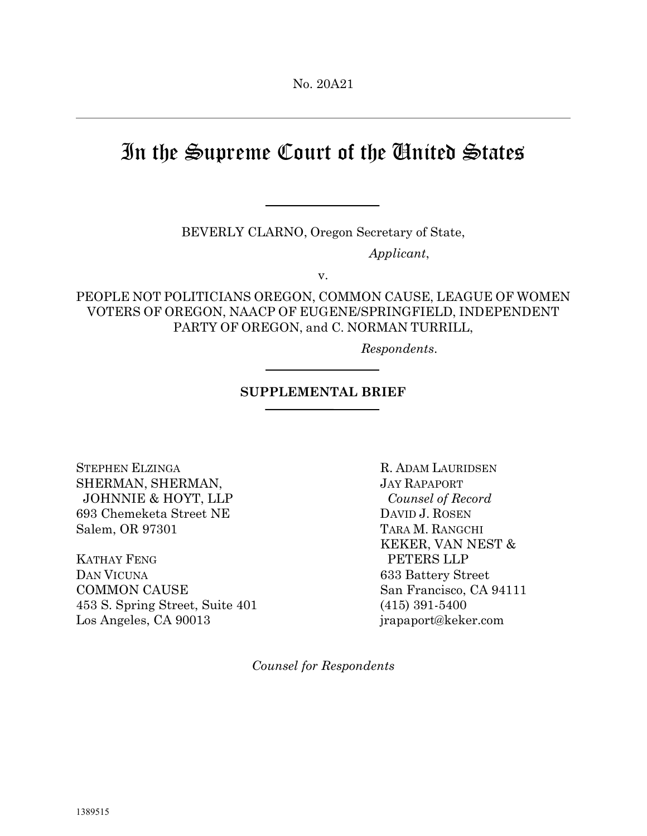## In the Supreme Court of the United States

BEVERLY CLARNO, Oregon Secretary of State,

Applicant,

v.

PEOPLE NOT POLITICIANS OREGON, COMMON CAUSE, LEAGUE OF WOMEN VOTERS OF OREGON, NAACP OF EUGENE/SPRINGFIELD, INDEPENDENT PARTY OF OREGON, and C. NORMAN TURRILL,

Respondents.

## SUPPLEMENTAL BRIEF

STEPHEN ELZINGA R. ADAM LAURIDSEN SHERMAN, SHERMAN, JAY RAPAPORT JOHNNIE & HOYT, LLP Counsel of Record 693 Chemeketa Street NE DAVID J. ROSEN Salem, OR 97301 TARA M. RANGCHI

KATHAY FENG PETERS LLP DAN VICUNA 633 Battery Street COMMON CAUSE San Francisco, CA 94111 453 S. Spring Street, Suite 401 (415) 391-5400 Los Angeles, CA 90013 jrapaport@keker.com

KEKER, VAN NEST &

Counsel for Respondents